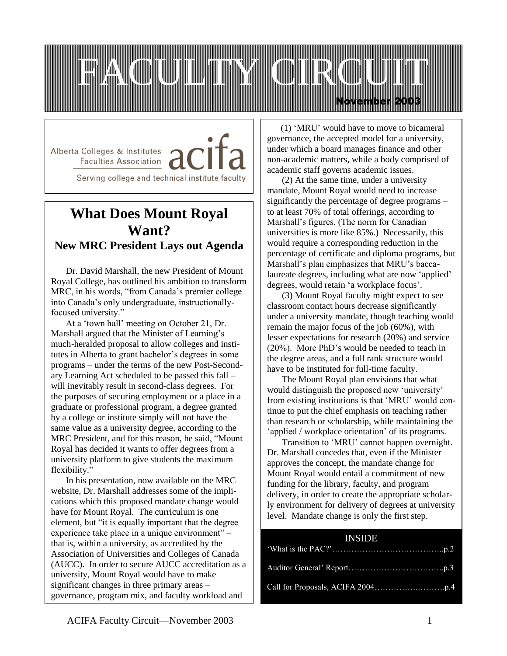

Alberta Colleges & Institutes / Faculties Association

Serving college and technical institute faculty

# **What Does Mount Royal Want? New MRC President Lays out Agenda**

Dr. David Marshall, the new President of Mount Royal College, has outlined his ambition to transform MRC, in his words, "from Canada's premier college into Canada's only undergraduate, instructionallyfocused university."

At a 'town hall' meeting on October 21, Dr. Marshall argued that the Minister of Learning's much-heralded proposal to allow colleges and institutes in Alberta to grant bachelor's degrees in some programs – under the terms of the new Post-Secondary Learning Act scheduled to be passed this fall – will inevitably result in second-class degrees. For the purposes of securing employment or a place in a graduate or professional program, a degree granted by a college or institute simply will not have the same value as a university degree, according to the MRC President, and for this reason, he said, "Mount Royal has decided it wants to offer degrees from a university platform to give students the maximum flexibility."

In his presentation, now available on the MRC website, Dr. Marshall addresses some of the implications which this proposed mandate change would have for Mount Royal. The curriculum is one element, but "it is equally important that the degree experience take place in a unique environment" – that is, within a university, as accredited by the Association of Universities and Colleges of Canada (AUCC). In order to secure AUCC accreditation as a university, Mount Royal would have to make significant changes in three primary areas – governance, program mix, and faculty workload and

 (1) 'MRU' would have to move to bicameral governance, the accepted model for a university, under which a board manages finance and other non-academic matters, while a body comprised of academic staff governs academic issues.

(2) At the same time, under a university mandate, Mount Royal would need to increase significantly the percentage of degree programs – to at least 70% of total offerings, according to Marshall's figures. (The norm for Canadian universities is more like 85%.) Necessarily, this would require a corresponding reduction in the percentage of certificate and diploma programs, but Marshall's plan emphasizes that MRU's baccalaureate degrees, including what are now 'applied' degrees, would retain 'a workplace focus'.

(3) Mount Royal faculty might expect to see classroom contact hours decrease significantly under a university mandate, though teaching would remain the major focus of the job (60%), with lesser expectations for research (20%) and service (20%). More PhD's would be needed to teach in the degree areas, and a full rank structure would have to be instituted for full-time faculty.

The Mount Royal plan envisions that what would distinguish the proposed new 'university' from existing institutions is that 'MRU' would continue to put the chief emphasis on teaching rather than research or scholarship, while maintaining the 'applied / workplace orientation' of its programs.

Transition to 'MRU' cannot happen overnight. Dr. Marshall concedes that, even if the Minister approves the concept, the mandate change for Mount Royal would entail a commitment of new funding for the library, faculty, and program delivery, in order to create the appropriate scholarly environment for delivery of degrees at university level. Mandate change is only the first step.

## INSIDE

I

reward structure.<br>The ward structure of the ward structure of the ward structure of the ward structure of the ward structure of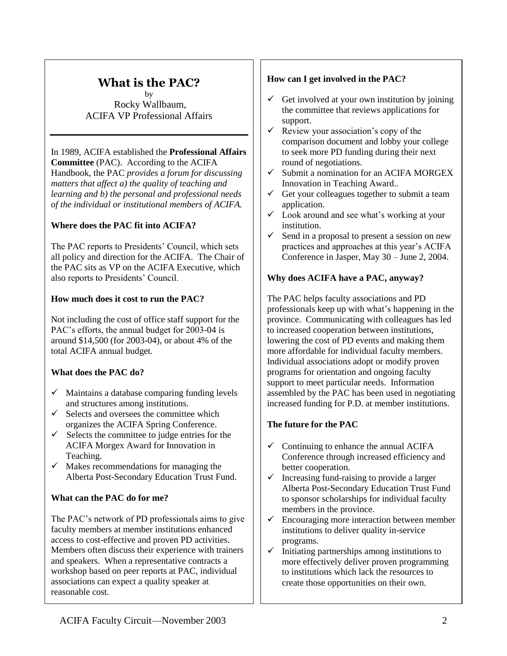# **What is the PAC?**

by Rocky Wallbaum, ACIFA VP Professional Affairs

# In 1989, ACIFA established the **Professional Affairs**

*Indicts individually incorportional and professional needs*  $\ell$ of the individual or institutional members of ACIFA. **Committee** (PAC). According to the ACIFA Handbook, the PAC *provides a forum for discussing matters that affect a) the quality of teaching and* 

## **Where does the PAC fit into ACIFA?**

The PAC reports to Presidents' Council, which sets all policy and direction for the ACIFA. The Chair of the PAC sits as VP on the ACIFA Executive, which also reports to Presidents' Council.

## **How much does it cost to run the PAC?**

Not including the cost of office staff support for the PAC's efforts, the annual budget for 2003-04 is around \$14,500 (for 2003-04), or about 4% of the total ACIFA annual budget.

## **What does the PAC do?**

- $\checkmark$  Maintains a database comparing funding levels and structures among institutions.
- $\checkmark$  Selects and oversees the committee which organizes the ACIFA Spring Conference.
- $\checkmark$  Selects the committee to judge entries for the ACIFA Morgex Award for Innovation in Teaching.
- $\checkmark$  Makes recommendations for managing the Alberta Post-Secondary Education Trust Fund.

## **What can the PAC do for me?**

The PAC's network of PD professionals aims to give faculty members at member institutions enhanced access to cost-effective and proven PD activities. Members often discuss their experience with trainers and speakers. When a representative contracts a workshop based on peer reports at PAC, individual associations can expect a quality speaker at reasonable cost.

#### **How can I get involved in the PAC?**

- $\checkmark$  Get involved at your own institution by joining the committee that reviews applications for support.
- $\checkmark$  Review your association's copy of the comparison document and lobby your college to seek more PD funding during their next round of negotiations.
- $\checkmark$  Submit a nomination for an ACIFA MORGEX Innovation in Teaching Award..
- $\checkmark$  Get your colleagues together to submit a team application.
- $\checkmark$  Look around and see what's working at your institution.
- $\checkmark$  Send in a proposal to present a session on new practices and approaches at this year's ACIFA Conference in Jasper, May 30 – June 2, 2004.

#### **Why does ACIFA have a PAC, anyway?**

The PAC helps faculty associations and PD professionals keep up with what's happening in the province. Communicating with colleagues has led to increased cooperation between institutions, lowering the cost of PD events and making them more affordable for individual faculty members. Individual associations adopt or modify proven programs for orientation and ongoing faculty support to meet particular needs. Information assembled by the PAC has been used in negotiating increased funding for P.D. at member institutions.

## **The future for the PAC**

- $\checkmark$  Continuing to enhance the annual ACIFA Conference through increased efficiency and better cooperation.
- $\checkmark$  Increasing fund-raising to provide a larger Alberta Post-Secondary Education Trust Fund to sponsor scholarships for individual faculty members in the province.
- $\checkmark$  Encouraging more interaction between member institutions to deliver quality in-service programs.
- $\checkmark$  Initiating partnerships among institutions to more effectively deliver proven programming to institutions which lack the resources to create those opportunities on their own.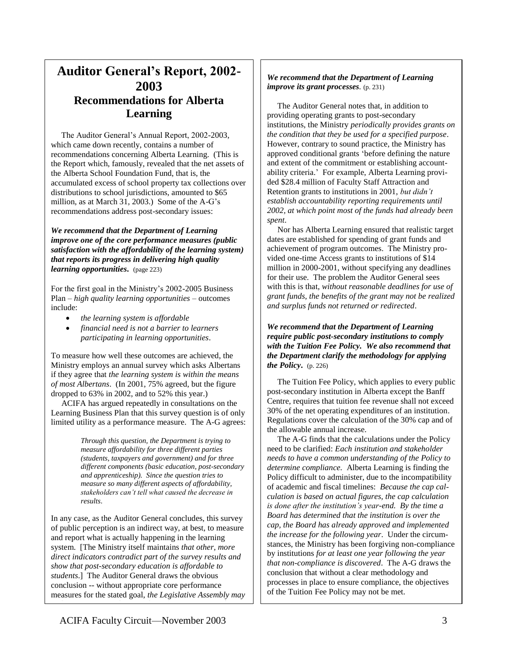## **Auditor General's Report, 2002- 2003 Recommendations for Alberta Learning**

 The Auditor General's Annual Report, 2002-2003, which came down recently, contains a number of recommendations concerning Alberta Learning. (This is the Report which, famously, revealed that the net assets of the Alberta School Foundation Fund, that is, the accumulated excess of school property tax collections over distributions to school jurisdictions, amounted to \$65 million, as at March 31, 2003.) Some of the A-G's recommendations address post-secondary issues:

*We recommend that the Department of Learning improve one of the core performance measures (public satisfaction with the affordability of the learning system) that reports its progress in delivering high quality learning opportunities***.** (page 223)

For the first goal in the Ministry's 2002-2005 Business Plan – *high quality learning opportunities* – outcomes include:

- *the learning system is affordable*
- *financial need is not a barrier to learners participating in learning opportunities*.

To measure how well these outcomes are achieved, the Ministry employs an annual survey which asks Albertans if they agree that *the learning system is within the means of most Albertans*. (In 2001, 75% agreed, but the figure dropped to 63% in 2002, and to 52% this year.)

 ACIFA has argued repeatedly in consultations on the Learning Business Plan that this survey question is of only limited utility as a performance measure. The A-G agrees:

> *Through this question, the Department is trying to measure affordability for three different parties (students, taxpayers and government) and for three different components (basic education, post-secondary and apprenticeship). Since the question tries to measure so many different aspects of affordability, stakeholders can't tell what caused the decrease in results*.

In any case, as the Auditor General concludes, this survey of public perception is an indirect way, at best, to measure and report what is actually happening in the learning system. [The Ministry itself maintains *that other, more direct indicators contradict part of the survey results and show that post-secondary education is affordable to students*.] The Auditor General draws the obvious conclusion -- without appropriate core performance measures for the stated goal, *the Legislative Assembly may* 

#### *We recommend that the Department of Learning improve its grant processes.* (p. 231)

 The Auditor General notes that, in addition to providing operating grants to post-secondary institutions, the Ministry *periodically provides grants on the condition that they be used for a specified purpose*. However, contrary to sound practice, the Ministry has approved conditional grants 'before defining the nature and extent of the commitment or establishing accountability criteria.' For example, Alberta Learning provided \$28.4 million of Faculty Staff Attraction and Retention grants to institutions in 2001, *but didn't establish accountability reporting requirements until 2002, at which point most of the funds had already been spent*.

 Nor has Alberta Learning ensured that realistic target dates are established for spending of grant funds and achievement of program outcomes. The Ministry provided one-time Access grants to institutions of \$14 million in 2000-2001, without specifying any deadlines for their use. The problem the Auditor General sees with this is that, *without reasonable deadlines for use of grant funds, the benefits of the grant may not be realized and surplus funds not returned or redirected*.

*We recommend that the Department of Learning require public post-secondary institutions to comply with the Tuition Fee Policy. We also recommend that the Department clarify the methodology for applying the Policy***.** (p. 226)

 The Tuition Fee Policy, which applies to every public post-secondary institution in Alberta except the Banff Centre, requires that tuition fee revenue shall not exceed 30% of the net operating expenditures of an institution. Regulations cover the calculation of the 30% cap and of the allowable annual increase.

 The A-G finds that the calculations under the Policy need to be clarified: *Each institution and stakeholder needs to have a common understanding of the Policy to determine compliance.* Alberta Learning is finding the Policy difficult to administer, due to the incompatibility of academic and fiscal timelines: *Because the cap calculation is based on actual figures, the cap calculation is done after the institution's year-end. By the time a Board has determined that the institution is over the cap, the Board has already approved and implemented the increase for the following year*. Under the circumstances, the Ministry has been forgiving non-compliance by institutions *for at least one year following the year that non-compliance is discovered*. The A-G draws the conclusion that without a clear methodology and processes in place to ensure compliance, the objectives of the Tuition Fee Policy may not be met.

*make incorrect conclusions about the Department of*